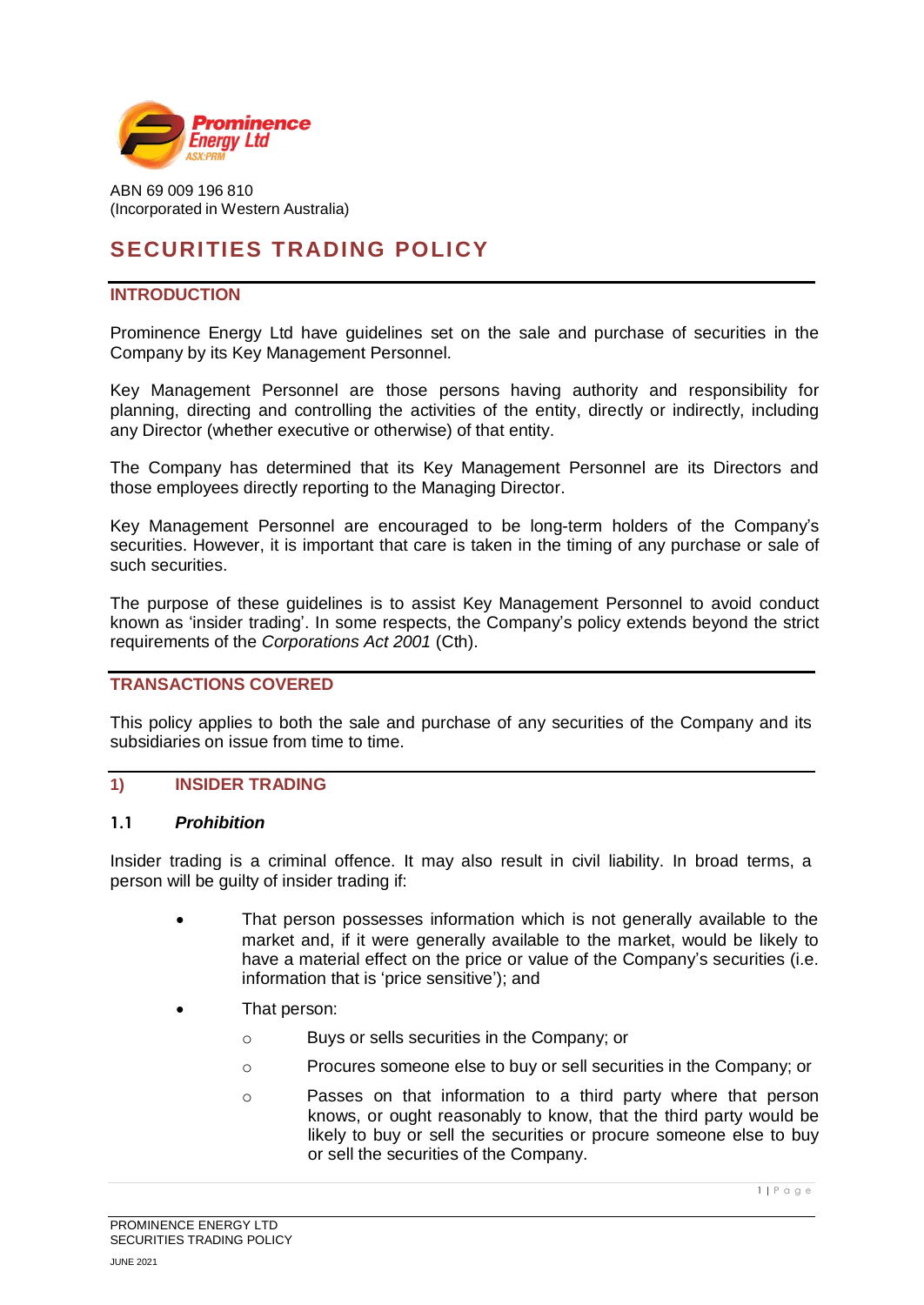

ABN 69 009 196 810 (Incorporated in Western Australia)

# **SECURITIES TRADING POLICY**

#### **INTRODUCTION**

Prominence Energy Ltd have guidelines set on the sale and purchase of securities in the Company by its Key Management Personnel.

Key Management Personnel are those persons having authority and responsibility for planning, directing and controlling the activities of the entity, directly or indirectly, including any Director (whether executive or otherwise) of that entity.

The Company has determined that its Key Management Personnel are its Directors and those employees directly reporting to the Managing Director.

Key Management Personnel are encouraged to be long-term holders of the Company's securities. However, it is important that care is taken in the timing of any purchase or sale of such securities.

The purpose of these guidelines is to assist Key Management Personnel to avoid conduct known as 'insider trading'. In some respects, the Company's policy extends beyond the strict requirements of the *Corporations Act 2001* (Cth).

#### **TRANSACTIONS COVERED**

This policy applies to both the sale and purchase of any securities of the Company and its subsidiaries on issue from time to time.

#### **1) INSIDER TRADING**

#### **1.1** *Prohibition*

Insider trading is a criminal offence. It may also result in civil liability. In broad terms, a person will be guilty of insider trading if:

- That person possesses information which is not generally available to the market and, if it were generally available to the market, would be likely to have a material effect on the price or value of the Company's securities (i.e. information that is 'price sensitive'); and
- That person:
	- o Buys or sells securities in the Company; or
	- o Procures someone else to buy or sell securities in the Company; or
	- o Passes on that information to a third party where that person knows, or ought reasonably to know, that the third party would be likely to buy or sell the securities or procure someone else to buy or sell the securities of the Company.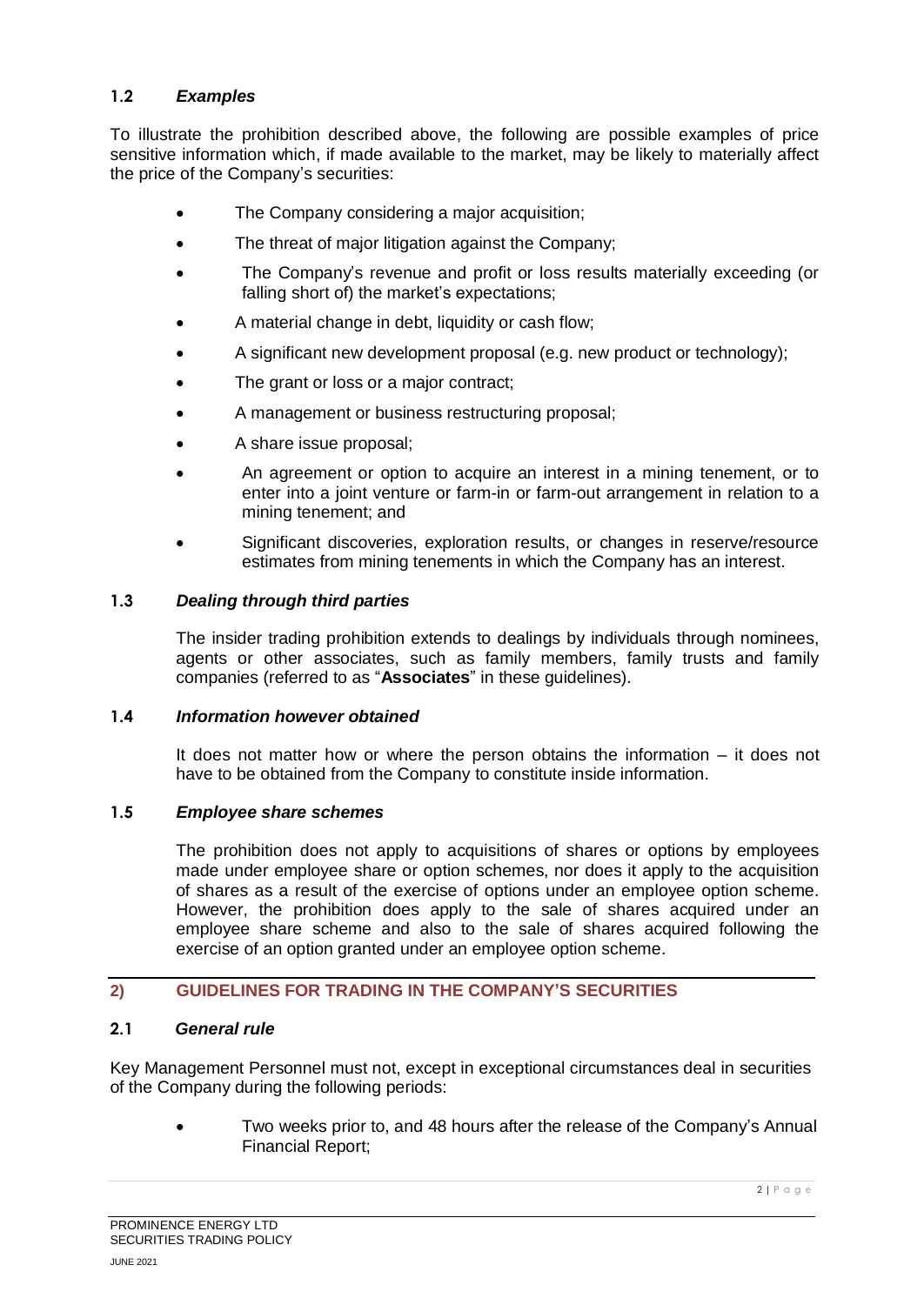### **1.2** *Examples*

To illustrate the prohibition described above, the following are possible examples of price sensitive information which, if made available to the market, may be likely to materially affect the price of the Company's securities:

- The Company considering a major acquisition:
- The threat of major litigation against the Company:
- The Company's revenue and profit or loss results materially exceeding (or falling short of) the market's expectations;
- A material change in debt, liquidity or cash flow;
- A significant new development proposal (e.g. new product or technology);
- The grant or loss or a major contract;
- A management or business restructuring proposal;
- A share issue proposal;
- An agreement or option to acquire an interest in a mining tenement, or to enter into a joint venture or farm-in or farm-out arrangement in relation to a mining tenement; and
- Significant discoveries, exploration results, or changes in reserve/resource estimates from mining tenements in which the Company has an interest.

#### **1.3** *Dealing through third parties*

The insider trading prohibition extends to dealings by individuals through nominees, agents or other associates, such as family members, family trusts and family companies (referred to as "**Associates**" in these guidelines).

#### **1.4** *Information however obtained*

It does not matter how or where the person obtains the information – it does not have to be obtained from the Company to constitute inside information.

#### **1.5** *Employee share schemes*

The prohibition does not apply to acquisitions of shares or options by employees made under employee share or option schemes, nor does it apply to the acquisition of shares as a result of the exercise of options under an employee option scheme. However, the prohibition does apply to the sale of shares acquired under an employee share scheme and also to the sale of shares acquired following the exercise of an option granted under an employee option scheme.

#### **2) GUIDELINES FOR TRADING IN THE COMPANY'S SECURITIES**

#### **2.1** *General rule*

Key Management Personnel must not, except in exceptional circumstances deal in securities of the Company during the following periods:

> • Two weeks prior to, and 48 hours after the release of the Company's Annual Financial Report;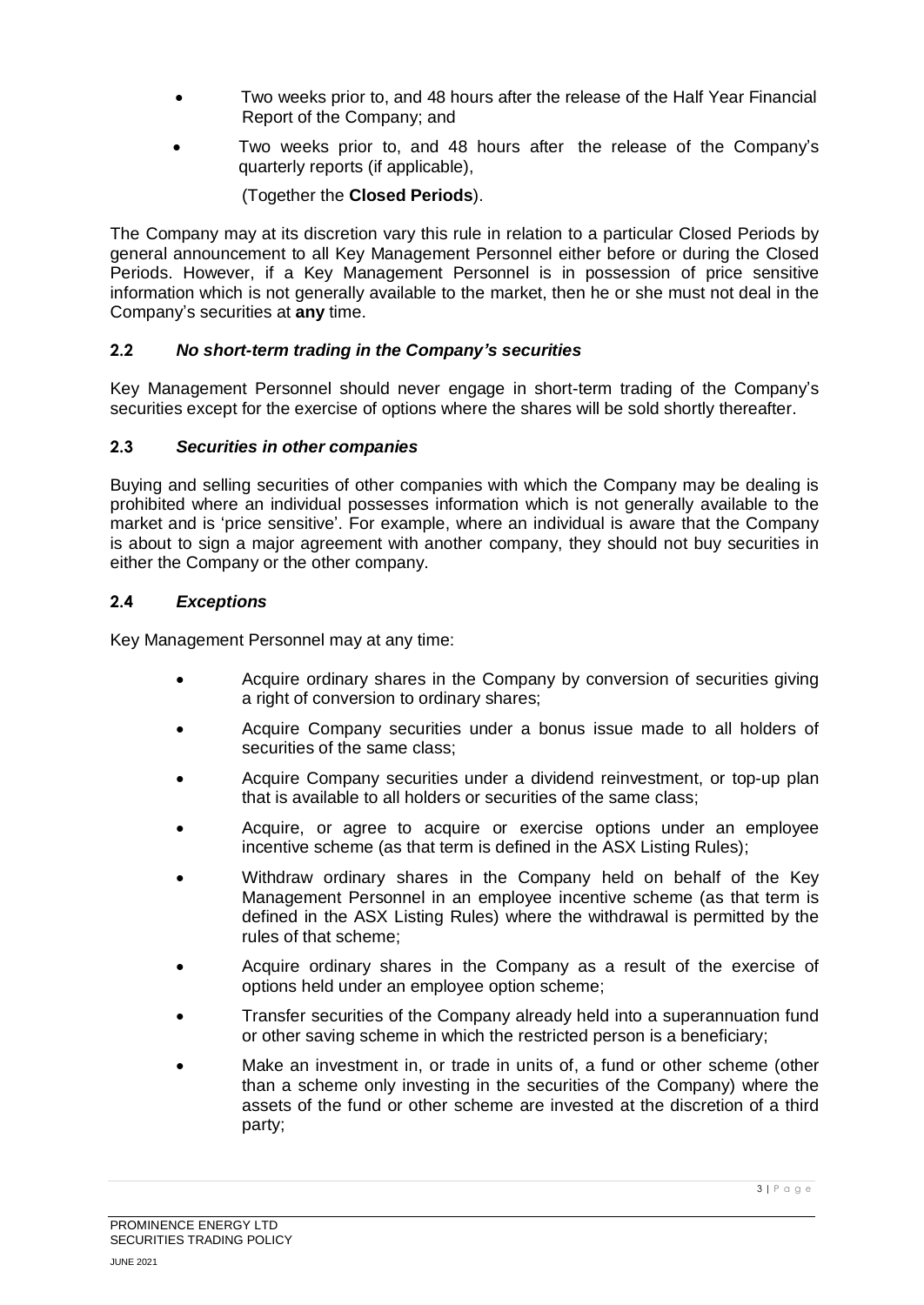- Two weeks prior to, and 48 hours after the release of the Half Year Financial Report of the Company; and
- Two weeks prior to, and 48 hours after the release of the Company's quarterly reports (if applicable),

(Together the **Closed Periods**).

The Company may at its discretion vary this rule in relation to a particular Closed Periods by general announcement to all Key Management Personnel either before or during the Closed Periods. However, if a Key Management Personnel is in possession of price sensitive information which is not generally available to the market, then he or she must not deal in the Company's securities at **any** time.

# **2.2** *No short-term trading in the Company's securities*

Key Management Personnel should never engage in short-term trading of the Company's securities except for the exercise of options where the shares will be sold shortly thereafter.

# **2.3** *Securities in other companies*

Buying and selling securities of other companies with which the Company may be dealing is prohibited where an individual possesses information which is not generally available to the market and is 'price sensitive'. For example, where an individual is aware that the Company is about to sign a major agreement with another company, they should not buy securities in either the Company or the other company.

# **2.4** *Exceptions*

Key Management Personnel may at any time:

- Acquire ordinary shares in the Company by conversion of securities giving a right of conversion to ordinary shares;
- Acquire Company securities under a bonus issue made to all holders of securities of the same class;
- Acquire Company securities under a dividend reinvestment, or top-up plan that is available to all holders or securities of the same class;
- Acquire, or agree to acquire or exercise options under an employee incentive scheme (as that term is defined in the ASX Listing Rules);
- Withdraw ordinary shares in the Company held on behalf of the Key Management Personnel in an employee incentive scheme (as that term is defined in the ASX Listing Rules) where the withdrawal is permitted by the rules of that scheme;
- Acquire ordinary shares in the Company as a result of the exercise of options held under an employee option scheme;
- Transfer securities of the Company already held into a superannuation fund or other saving scheme in which the restricted person is a beneficiary;
- Make an investment in, or trade in units of, a fund or other scheme (other than a scheme only investing in the securities of the Company) where the assets of the fund or other scheme are invested at the discretion of a third party;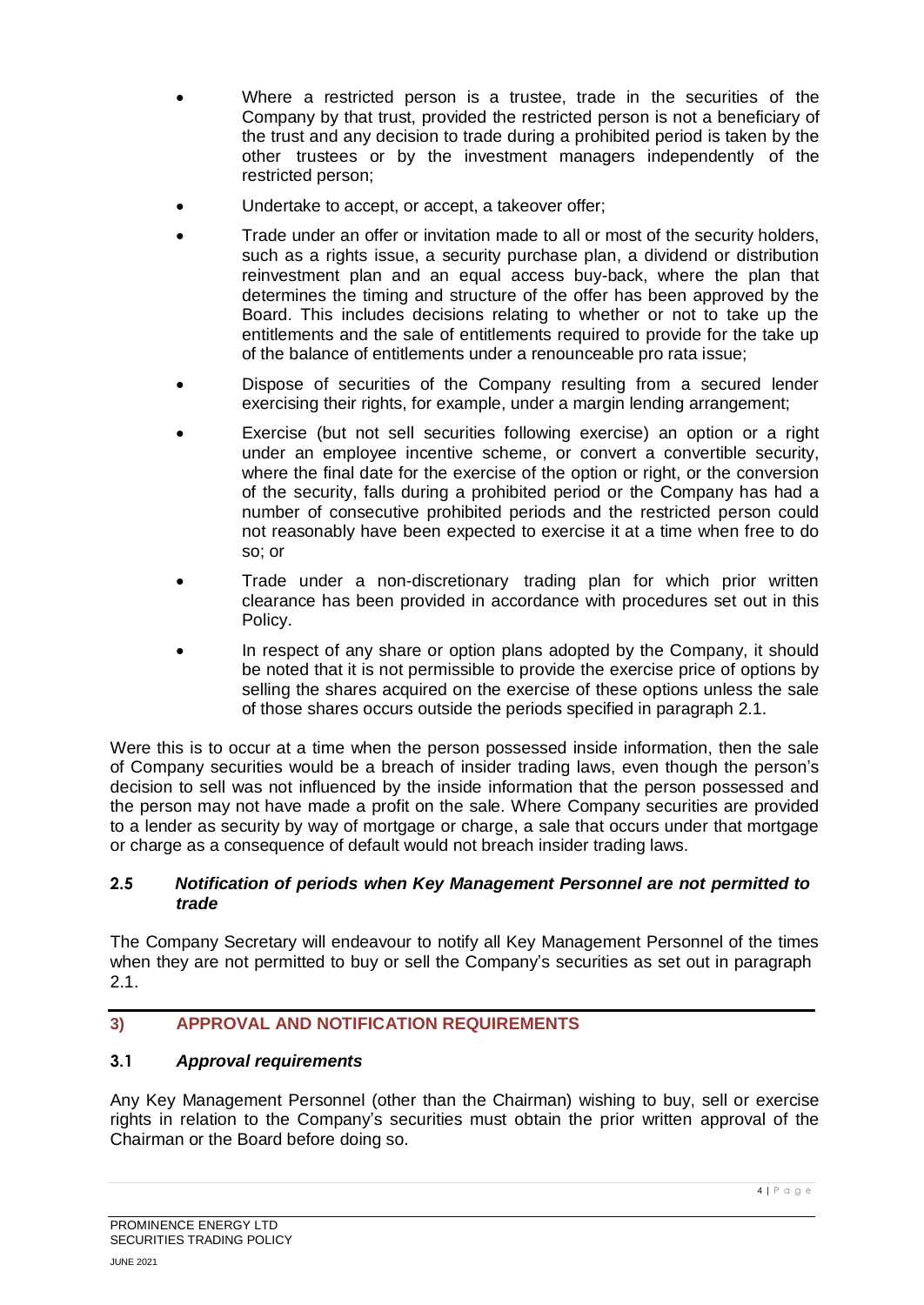- Where a restricted person is a trustee, trade in the securities of the Company by that trust, provided the restricted person is not a beneficiary of the trust and any decision to trade during a prohibited period is taken by the other trustees or by the investment managers independently of the restricted person;
- Undertake to accept, or accept, a takeover offer;
- Trade under an offer or invitation made to all or most of the security holders, such as a rights issue, a security purchase plan, a dividend or distribution reinvestment plan and an equal access buy-back, where the plan that determines the timing and structure of the offer has been approved by the Board. This includes decisions relating to whether or not to take up the entitlements and the sale of entitlements required to provide for the take up of the balance of entitlements under a renounceable pro rata issue;
- Dispose of securities of the Company resulting from a secured lender exercising their rights, for example, under a margin lending arrangement;
- Exercise (but not sell securities following exercise) an option or a right under an employee incentive scheme, or convert a convertible security, where the final date for the exercise of the option or right, or the conversion of the security, falls during a prohibited period or the Company has had a number of consecutive prohibited periods and the restricted person could not reasonably have been expected to exercise it at a time when free to do so; or
- Trade under a non-discretionary trading plan for which prior written clearance has been provided in accordance with procedures set out in this Policy.
- In respect of any share or option plans adopted by the Company, it should be noted that it is not permissible to provide the exercise price of options by selling the shares acquired on the exercise of these options unless the sale of those shares occurs outside the periods specified in paragraph 2.1.

Were this is to occur at a time when the person possessed inside information, then the sale of Company securities would be a breach of insider trading laws, even though the person's decision to sell was not influenced by the inside information that the person possessed and the person may not have made a profit on the sale. Where Company securities are provided to a lender as security by way of mortgage or charge, a sale that occurs under that mortgage or charge as a consequence of default would not breach insider trading laws.

### **2.5** *Notification of periods when Key Management Personnel are not permitted to trade*

The Company Secretary will endeavour to notify all Key Management Personnel of the times when they are not permitted to buy or sell the Company's securities as set out in paragraph 2.1.

# **3) APPROVAL AND NOTIFICATION REQUIREMENTS**

# **3.1** *Approval requirements*

Any Key Management Personnel (other than the Chairman) wishing to buy, sell or exercise rights in relation to the Company's securities must obtain the prior written approval of the Chairman or the Board before doing so.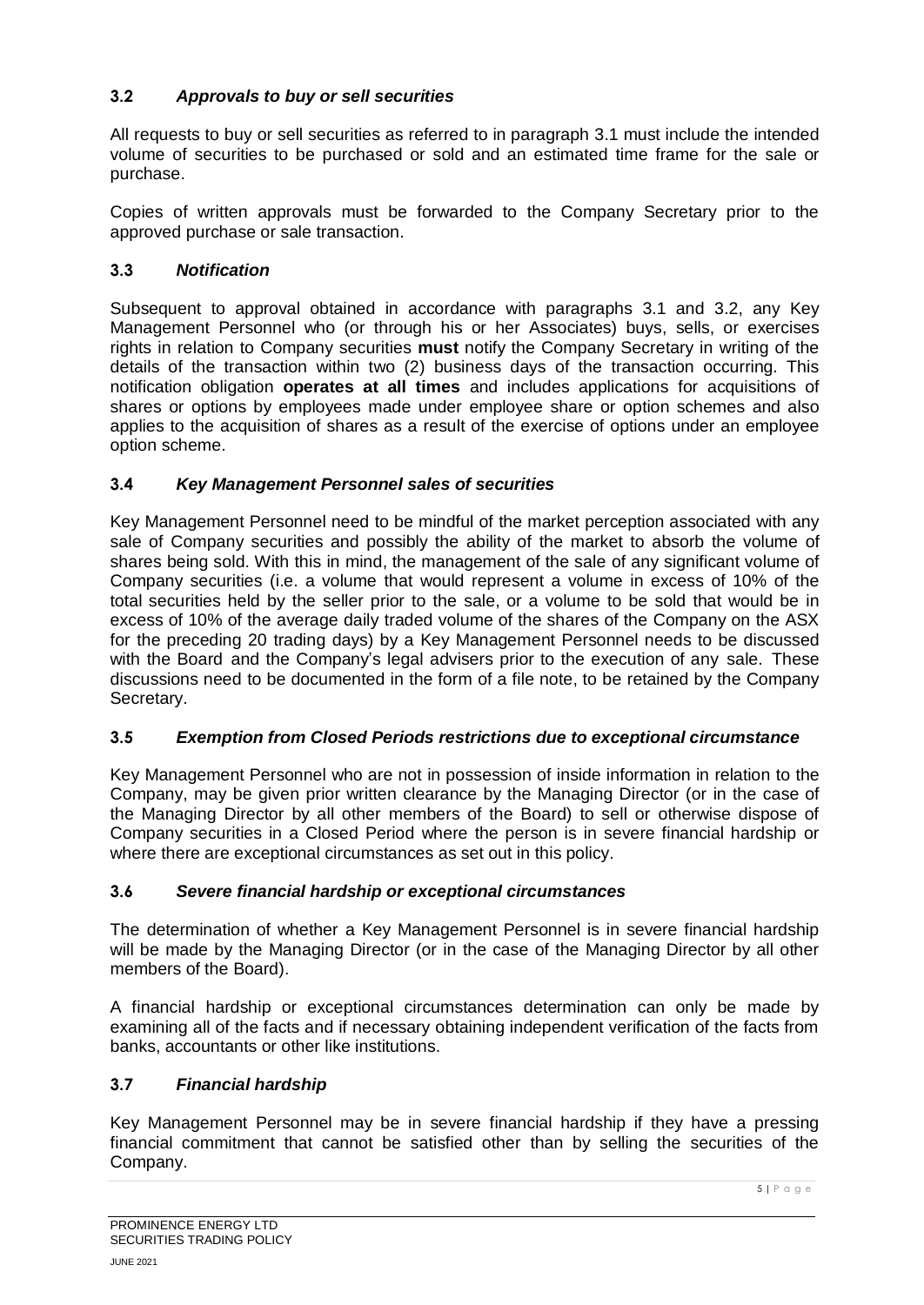# **3.2** *Approvals to buy or sell securities*

All requests to buy or sell securities as referred to in paragraph 3.1 must include the intended volume of securities to be purchased or sold and an estimated time frame for the sale or purchase.

Copies of written approvals must be forwarded to the Company Secretary prior to the approved purchase or sale transaction.

# **3.3** *Notification*

Subsequent to approval obtained in accordance with paragraphs 3.1 and 3.2, any Key Management Personnel who (or through his or her Associates) buys, sells, or exercises rights in relation to Company securities **must** notify the Company Secretary in writing of the details of the transaction within two (2) business days of the transaction occurring. This notification obligation **operates at all times** and includes applications for acquisitions of shares or options by employees made under employee share or option schemes and also applies to the acquisition of shares as a result of the exercise of options under an employee option scheme.

### **3.4** *Key Management Personnel sales of securities*

Key Management Personnel need to be mindful of the market perception associated with any sale of Company securities and possibly the ability of the market to absorb the volume of shares being sold. With this in mind, the management of the sale of any significant volume of Company securities (i.e. a volume that would represent a volume in excess of 10% of the total securities held by the seller prior to the sale, or a volume to be sold that would be in excess of 10% of the average daily traded volume of the shares of the Company on the ASX for the preceding 20 trading days) by a Key Management Personnel needs to be discussed with the Board and the Company's legal advisers prior to the execution of any sale. These discussions need to be documented in the form of a file note, to be retained by the Company Secretary.

#### **3.5** *Exemption from Closed Periods restrictions due to exceptional circumstance*

Key Management Personnel who are not in possession of inside information in relation to the Company, may be given prior written clearance by the Managing Director (or in the case of the Managing Director by all other members of the Board) to sell or otherwise dispose of Company securities in a Closed Period where the person is in severe financial hardship or where there are exceptional circumstances as set out in this policy.

# **3.6** *Severe financial hardship or exceptional circumstances*

The determination of whether a Key Management Personnel is in severe financial hardship will be made by the Managing Director (or in the case of the Managing Director by all other members of the Board).

A financial hardship or exceptional circumstances determination can only be made by examining all of the facts and if necessary obtaining independent verification of the facts from banks, accountants or other like institutions.

# **3.7** *Financial hardship*

Key Management Personnel may be in severe financial hardship if they have a pressing financial commitment that cannot be satisfied other than by selling the securities of the Company.